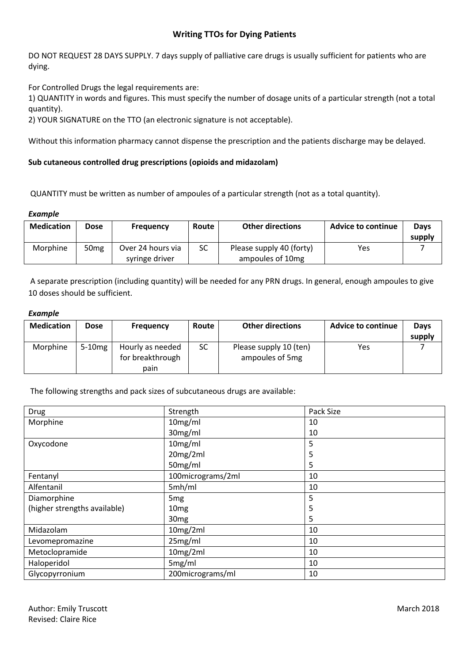# **Writing TTOs for Dying Patients**

DO NOT REQUEST 28 DAYS SUPPLY. 7 days supply of palliative care drugs is usually sufficient for patients who are dying.

For Controlled Drugs the legal requirements are:

1) QUANTITY in words and figures. This must specify the number of dosage units of a particular strength (not a total quantity).

2) YOUR SIGNATURE on the TTO (an electronic signature is not acceptable).

Without this information pharmacy cannot dispense the prescription and the patients discharge may be delayed.

## **Sub cutaneous controlled drug prescriptions (opioids and midazolam)**

QUANTITY must be written as number of ampoules of a particular strength (not as a total quantity).

### *Example*

| <b>Medication</b> | <b>Dose</b>      | Frequency         | Route | <b>Other directions</b>  | <b>Advice to continue</b> | Days   |
|-------------------|------------------|-------------------|-------|--------------------------|---------------------------|--------|
|                   |                  |                   |       |                          |                           | supply |
| Morphine          | 50 <sub>mg</sub> | Over 24 hours via | SC    | Please supply 40 (forty) | Yes                       |        |
|                   |                  | syringe driver    |       | ampoules of 10mg         |                           |        |

A separate prescription (including quantity) will be needed for any PRN drugs. In general, enough ampoules to give 10 doses should be sufficient.

#### *Example*

| <b>Medication</b> | Dose      | <b>Frequency</b>                     | Route     | <b>Other directions</b>                   | <b>Advice to continue</b> | <b>Days</b> |
|-------------------|-----------|--------------------------------------|-----------|-------------------------------------------|---------------------------|-------------|
|                   |           |                                      |           |                                           |                           | supply      |
| Morphine          | $5-10$ mg | Hourly as needed<br>for breakthrough | <b>SC</b> | Please supply 10 (ten)<br>ampoules of 5mg | Yes                       |             |
|                   |           | pain                                 |           |                                           |                           |             |

The following strengths and pack sizes of subcutaneous drugs are available:

| Drug                         | Strength            | Pack Size |
|------------------------------|---------------------|-----------|
| Morphine                     | 10mg/ml             | 10        |
|                              | 30 <sub>mg/ml</sub> | 10        |
| Oxycodone                    | 10mg/ml             | 5         |
|                              | 20mg/2ml            | 5         |
|                              | 50mg/ml             | 5         |
| Fentanyl                     | 100micrograms/2ml   | 10        |
| Alfentanil                   | 5mh/ml              | 10        |
| Diamorphine                  | 5 <sub>mg</sub>     | 5         |
| (higher strengths available) | 10 <sub>mg</sub>    | 5         |
|                              | 30 <sub>mg</sub>    | 5         |
| Midazolam                    | 10mg/2ml            | 10        |
| Levomepromazine              | 25mg/ml             | 10        |
| Metoclopramide               | 10mg/2ml            | 10        |
| Haloperidol                  | 5mg/ml              | 10        |
| Glycopyrronium               | 200micrograms/ml    | 10        |